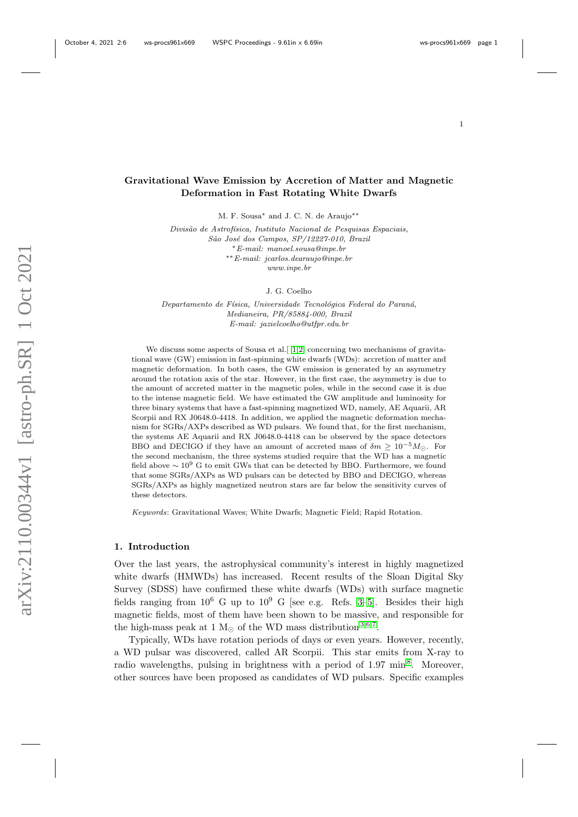# Gravitational Wave Emission by Accretion of Matter and Magnetic Deformation in Fast Rotating White Dwarfs

M. F. Sousa<sup>∗</sup> and J. C. N. de Araujo∗∗

Divisão de Astrofísica, Instituto Nacional de Pesquisas Espaciais, São José dos Campos, SP/12227-010, Brazil <sup>∗</sup>E-mail: manoel.sousa@inpe.br ∗∗E-mail: jcarlos.dearaujo@inpe.br www.inpe.br

J. G. Coelho

Departamento de Física, Universidade Tecnológica Federal do Paraná, Medianeira, PR/85884-000, Brazil E-mail: jazielcoelho@utfpr.edu.br

We discuss some aspects of Sousa et al. [ [1](#page-10-0)[,2\]](#page-10-1) concerning two mechanisms of gravitational wave (GW) emission in fast-spinning white dwarfs (WDs): accretion of matter and magnetic deformation. In both cases, the GW emission is generated by an asymmetry around the rotation axis of the star. However, in the first case, the asymmetry is due to the amount of accreted matter in the magnetic poles, while in the second case it is due to the intense magnetic field. We have estimated the GW amplitude and luminosity for three binary systems that have a fast-spinning magnetized WD, namely, AE Aquarii, AR Scorpii and RX J0648.0-4418. In addition, we applied the magnetic deformation mechanism for SGRs/AXPs described as WD pulsars. We found that, for the first mechanism, the systems AE Aquarii and RX J0648.0-4418 can be observed by the space detectors BBO and DECIGO if they have an amount of accreted mass of  $\delta m > 10^{-5} M_{\odot}$ . For the second mechanism, the three systems studied require that the WD has a magnetic field above  $\sim 10^9$  G to emit GWs that can be detected by BBO. Furthermore, we found that some SGRs/AXPs as WD pulsars can be detected by BBO and DECIGO, whereas SGRs/AXPs as highly magnetized neutron stars are far below the sensitivity curves of these detectors.

Keywords: Gravitational Waves; White Dwarfs; Magnetic Field; Rapid Rotation.

#### 1. Introduction

Over the last years, the astrophysical community's interest in highly magnetized white dwarfs (HMWDs) has increased. Recent results of the Sloan Digital Sky Survey (SDSS) have confirmed these white dwarfs (WDs) with surface magnetic fields ranging from  $10^6$  G up to  $10^9$  G [see e.g. Refs. [3](#page-10-2)[–5\]](#page-11-0). Besides their high magnetic fields, most of them have been shown to be massive, and responsible for the high-mass peak at 1  $M_{\odot}$  of the WD mass distribution [3](#page-10-2)[,6](#page-11-1)[,7](#page-11-2).

Typically, WDs have rotation periods of days or even years. However, recently, a WD pulsar was discovered, called AR Scorpii. This star emits from X-ray to radio wavelengths, pulsing in brightness with a period of 1.97 min<sup>[8](#page-11-3)</sup>. Moreover, other sources have been proposed as candidates of WD pulsars. Specific examples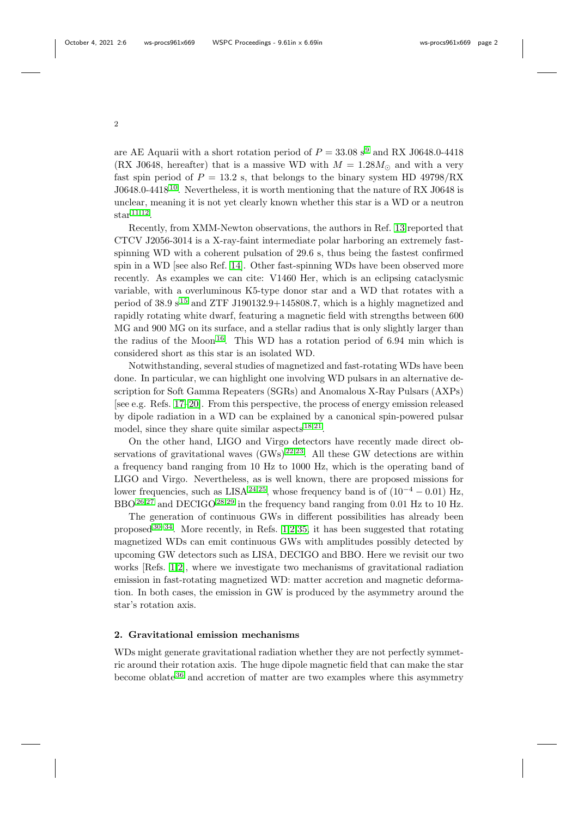are AE Aquarii with a short rotation period of  $P = 33.08 \text{ s}^9$  $P = 33.08 \text{ s}^9$  and RX J0648.0-4418

(RX J0648, hereafter) that is a massive WD with  $M = 1.28 M_{\odot}$  and with a very fast spin period of  $P = 13.2$  s, that belongs to the binary system HD 49798/RX J0648.0-4418 [10](#page-11-5). Nevertheless, it is worth mentioning that the nature of RX J0648 is unclear, meaning it is not yet clearly known whether this star is a WD or a neutron  $\text{star}^{11,12}.$  $\text{star}^{11,12}.$  $\text{star}^{11,12}.$  $\text{star}^{11,12}.$ 

Recently, from XMM-Newton observations, the authors in Ref. [13](#page-11-8) reported that CTCV J2056-3014 is a X-ray-faint intermediate polar harboring an extremely fastspinning WD with a coherent pulsation of 29.6 s, thus being the fastest confirmed spin in a WD [see also Ref. [14\]](#page-11-9). Other fast-spinning WDs have been observed more recently. As examples we can cite: V1460 Her, which is an eclipsing cataclysmic variable, with a overluminous K5-type donor star and a WD that rotates with a period of  $38.9 s^{15}$  $38.9 s^{15}$  $38.9 s^{15}$  and ZTF J190132.9+145808.7, which is a highly magnetized and rapidly rotating white dwarf, featuring a magnetic field with strengths between 600 MG and 900 MG on its surface, and a stellar radius that is only slightly larger than the radius of the Moon<sup>[16](#page-11-11)</sup>. This WD has a rotation period of 6.94 min which is considered short as this star is an isolated WD.

Notwithstanding, several studies of magnetized and fast-rotating WDs have been done. In particular, we can highlight one involving WD pulsars in an alternative description for Soft Gamma Repeaters (SGRs) and Anomalous X-Ray Pulsars (AXPs) [see e.g. Refs. [17–](#page-11-12)[20\]](#page-12-0). From this perspective, the process of energy emission released by dipole radiation in a WD can be explained by a canonical spin-powered pulsar model, since they share quite similar aspects <sup>[18](#page-11-13)[,21](#page-12-1)</sup>.

On the other hand, LIGO and Virgo detectors have recently made direct observations of gravitational waves  $(GWs)^{22,23}$  $(GWs)^{22,23}$  $(GWs)^{22,23}$  $(GWs)^{22,23}$ . All these GW detections are within a frequency band ranging from 10 Hz to 1000 Hz, which is the operating band of LIGO and Virgo. Nevertheless, as is well known, there are proposed missions for lower frequencies, such as LISA<sup>[24](#page-12-4)[,25](#page-12-5)</sup>, whose frequency band is of  $(10^{-4} - 0.01)$  Hz, BBO<sup>[26](#page-12-6)[,27](#page-12-7)</sup> and DECIGO<sup>[28](#page-12-8)[,29](#page-12-9)</sup> in the frequency band ranging from 0.01 Hz to 10 Hz.

The generation of continuous GWs in different possibilities has already been proposed  $30-34$  $30-34$ . More recently, in Refs. [1,](#page-10-0)[2,](#page-10-1)[35,](#page-12-12) it has been suggested that rotating magnetized WDs can emit continuous GWs with amplitudes possibly detected by upcoming GW detectors such as LISA, DECIGO and BBO. Here we revisit our two works [Refs. [1,](#page-10-0)[2\]](#page-10-1), where we investigate two mechanisms of gravitational radiation emission in fast-rotating magnetized WD: matter accretion and magnetic deformation. In both cases, the emission in GW is produced by the asymmetry around the star's rotation axis.

### 2. Gravitational emission mechanisms

WDs might generate gravitational radiation whether they are not perfectly symmetric around their rotation axis. The huge dipole magnetic field that can make the star become oblate [36](#page-12-13) and accretion of matter are two examples where this asymmetry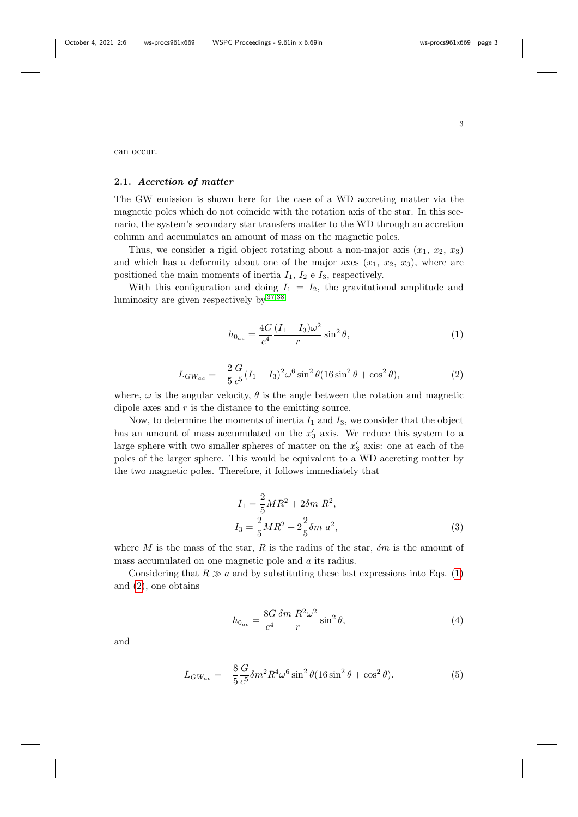can occur.

# 2.1. Accretion of matter

The GW emission is shown here for the case of a WD accreting matter via the magnetic poles which do not coincide with the rotation axis of the star. In this scenario, the system's secondary star transfers matter to the WD through an accretion column and accumulates an amount of mass on the magnetic poles.

Thus, we consider a rigid object rotating about a non-major axis  $(x_1, x_2, x_3)$ and which has a deformity about one of the major axes  $(x_1, x_2, x_3)$ , where are positioned the main moments of inertia  $I_1$ ,  $I_2$  e  $I_3$ , respectively.

With this configuration and doing  $I_1 = I_2$ , the gravitational amplitude and luminosity are given respectively by [37,](#page-12-14)[38](#page-13-0)

<span id="page-2-0"></span>
$$
h_{0_{ac}} = \frac{4G}{c^4} \frac{(I_1 - I_3)\omega^2}{r} \sin^2 \theta,
$$
\n(1)

<span id="page-2-1"></span>
$$
L_{GW_{ac}} = -\frac{2}{5} \frac{G}{c^5} (I_1 - I_3)^2 \omega^6 \sin^2 \theta (16 \sin^2 \theta + \cos^2 \theta), \tag{2}
$$

where,  $\omega$  is the angular velocity,  $\theta$  is the angle between the rotation and magnetic dipole axes and  $r$  is the distance to the emitting source.

Now, to determine the moments of inertia  $I_1$  and  $I_3$ , we consider that the object has an amount of mass accumulated on the  $x'_3$  axis. We reduce this system to a large sphere with two smaller spheres of matter on the  $x'_3$  axis: one at each of the poles of the larger sphere. This would be equivalent to a WD accreting matter by the two magnetic poles. Therefore, it follows immediately that

$$
I_1 = \frac{2}{5}MR^2 + 2\delta m R^2,
$$
  
\n
$$
I_3 = \frac{2}{5}MR^2 + 2\frac{2}{5}\delta m \ a^2,
$$
\n(3)

where M is the mass of the star, R is the radius of the star,  $\delta m$  is the amount of mass accumulated on one magnetic pole and a its radius.

Considering that  $R \gg a$  and by substituting these last expressions into Eqs. [\(1\)](#page-2-0) and [\(2\)](#page-2-1), one obtains

<span id="page-2-2"></span>
$$
h_{0_{ac}} = \frac{8G}{c^4} \frac{\delta m}{r} \frac{R^2 \omega^2}{r} \sin^2 \theta,\tag{4}
$$

and

$$
L_{GW_{ac}} = -\frac{8}{5} \frac{G}{c^5} \delta m^2 R^4 \omega^6 \sin^2 \theta (16 \sin^2 \theta + \cos^2 \theta). \tag{5}
$$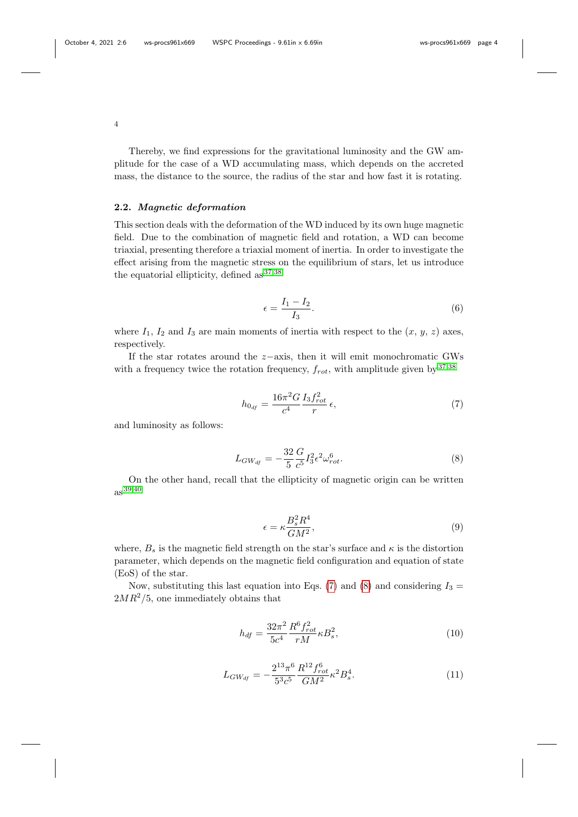Thereby, we find expressions for the gravitational luminosity and the GW amplitude for the case of a WD accumulating mass, which depends on the accreted mass, the distance to the source, the radius of the star and how fast it is rotating.

# 2.2. Magnetic deformation

This section deals with the deformation of the WD induced by its own huge magnetic field. Due to the combination of magnetic field and rotation, a WD can become triaxial, presenting therefore a triaxial moment of inertia. In order to investigate the effect arising from the magnetic stress on the equilibrium of stars, let us introduce the equatorial ellipticity, defined as [37](#page-12-14)[,38](#page-13-0)

$$
\epsilon = \frac{I_1 - I_2}{I_3}.\tag{6}
$$

where  $I_1$ ,  $I_2$  and  $I_3$  are main moments of inertia with respect to the  $(x, y, z)$  axes, respectively.

If the star rotates around the  $z$ −axis, then it will emit monochromatic GWs with a frequency twice the rotation frequency,  $f_{rot}$ , with amplitude given by  $37,38$  $37,38$ 

<span id="page-3-0"></span>
$$
h_{0_{df}} = \frac{16\pi^2 G}{c^4} \frac{I_3 f_{rot}^2}{r} \epsilon,
$$
\n(7)

and luminosity as follows:

<span id="page-3-1"></span>
$$
L_{GW_{df}} = -\frac{32}{5} \frac{G}{c^5} I_3^2 \epsilon^2 \omega_{rot}^6.
$$
 (8)

On the other hand, recall that the ellipticity of magnetic origin can be written as [39](#page-13-1)[,40](#page-13-2)

$$
\epsilon = \kappa \frac{B_s^2 R^4}{GM^2},\tag{9}
$$

where,  $B_s$  is the magnetic field strength on the star's surface and  $\kappa$  is the distortion parameter, which depends on the magnetic field configuration and equation of state (EoS) of the star.

Now, substituting this last equation into Eqs. [\(7\)](#page-3-0) and [\(8\)](#page-3-1) and considering  $I_3 =$  $2MR^2/5$ , one immediately obtains that

<span id="page-3-2"></span>
$$
h_{df} = \frac{32\pi^2}{5c^4} \frac{R^6 f_{rot}^2}{rM} \kappa B_s^2, \tag{10}
$$

$$
L_{GW_{df}} = -\frac{2^{13}\pi^6}{5^3c^5} \frac{R^{12}f_{rot}^6}{GM^2} \kappa^2 B_s^4.
$$
 (11)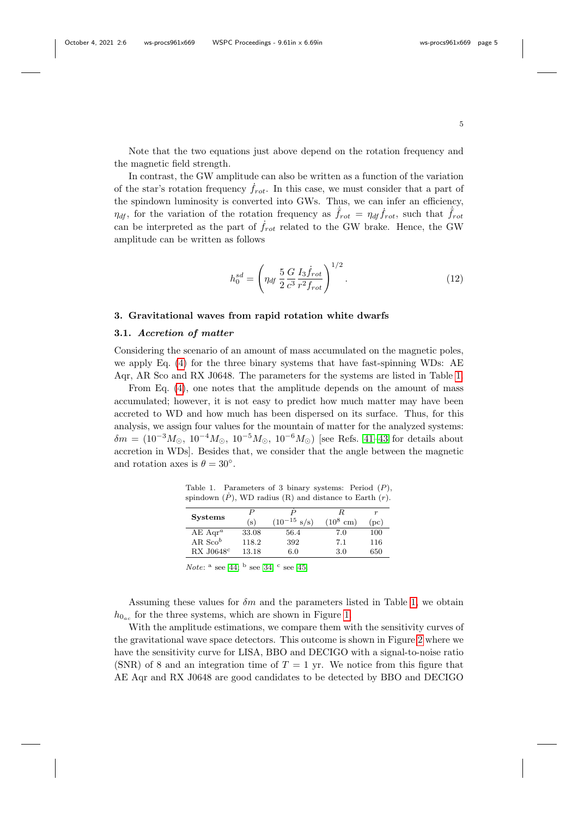Note that the two equations just above depend on the rotation frequency and the magnetic field strength.

In contrast, the GW amplitude can also be written as a function of the variation of the star's rotation frequency  $f_{rot}$ . In this case, we must consider that a part of the spindown luminosity is converted into GWs. Thus, we can infer an efficiency,  $\eta_{df}$ , for the variation of the rotation frequency as  $\dot{f}_{rot} = \eta_{df} \dot{f}_{rot}$ , such that  $\dot{f}_{rot}$ can be interpreted as the part of  $f_{rot}$  related to the GW brake. Hence, the GW amplitude can be written as follows

<span id="page-4-1"></span>
$$
h_0^{sd} = \left(\eta_{df} \frac{5}{2} \frac{G}{c^3} \frac{I_3 \dot{f}_{rot}}{r^2 f_{rot}}\right)^{1/2}.
$$
 (12)

#### 3. Gravitational waves from rapid rotation white dwarfs

## 3.1. Accretion of matter

Considering the scenario of an amount of mass accumulated on the magnetic poles, we apply Eq. [\(4\)](#page-2-2) for the three binary systems that have fast-spinning WDs: AE Aqr, AR Sco and RX J0648. The parameters for the systems are listed in Table [1.](#page-4-0)

From Eq. [\(4\)](#page-2-2), one notes that the amplitude depends on the amount of mass accumulated; however, it is not easy to predict how much matter may have been accreted to WD and how much has been dispersed on its surface. Thus, for this analysis, we assign four values for the mountain of matter for the analyzed systems:  $\delta m = (10^{-3} M_{\odot}, 10^{-4} M_{\odot}, 10^{-5} M_{\odot}, 10^{-6} M_{\odot})$  [see Refs. [41–](#page-13-3)[43](#page-13-4) for details about accretion in WDs]. Besides that, we consider that the angle between the magnetic and rotation axes is  $\theta = 30^{\circ}$ .

<span id="page-4-0"></span>Table 1. Parameters of 3 binary systems: Period  $(P)$ , spindown  $(P)$ , WD radius  $(R)$  and distance to Earth  $(r)$ .

| <b>Systems</b>          | P     |                          |                      | $\boldsymbol{r}$ |
|-------------------------|-------|--------------------------|----------------------|------------------|
|                         | (s)   | $(10^{-15} \text{ s/s})$ | $(10^8$<br>$\rm cm)$ | (pc)             |
| $AE$ Aqr <sup>a</sup>   | 33.08 | 56.4                     | 7.0                  | 100              |
| AR. $Sco^b$             | 118.2 | 392                      | 7.1                  | 116              |
| $RX$ J0648 <sup>c</sup> | 13.18 | 6.0                      | 3.0                  | 650              |

Note:  $a$  see [44;](#page-13-5)  $b$  see [34;](#page-12-11)  $c$  see [45.](#page-13-6)

Assuming these values for  $\delta m$  and the parameters listed in Table [1,](#page-4-0) we obtain  $h_{0_{ac}}$  for the three systems, which are shown in Figure [1.](#page-5-0)

With the amplitude estimations, we compare them with the sensitivity curves of the gravitational wave space detectors. This outcome is shown in Figure [2](#page-5-1) where we have the sensitivity curve for LISA, BBO and DECIGO with a signal-to-noise ratio (SNR) of 8 and an integration time of  $T = 1$  yr. We notice from this figure that AE Aqr and RX J0648 are good candidates to be detected by BBO and DECIGO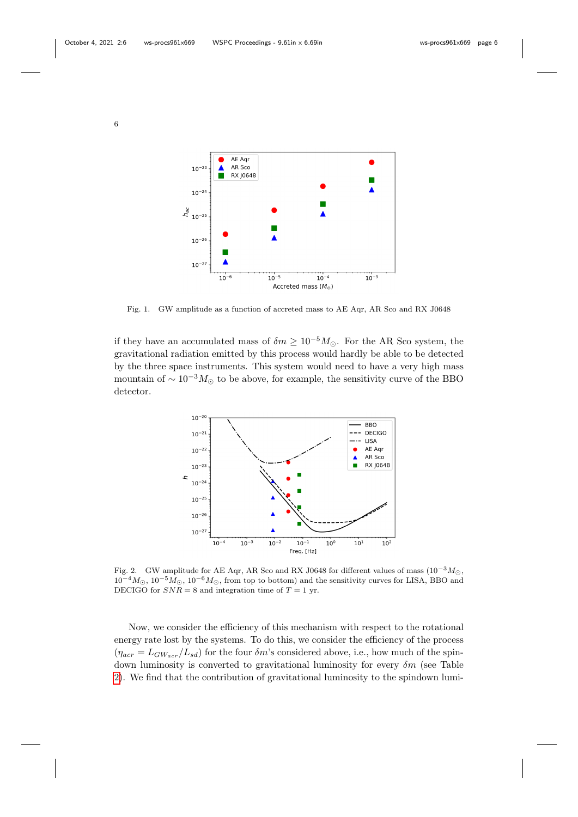

<span id="page-5-0"></span>Fig. 1. GW amplitude as a function of accreted mass to AE Aqr, AR Sco and RX J0648

if they have an accumulated mass of  $\delta m \geq 10^{-5} M_{\odot}$ . For the AR Sco system, the gravitational radiation emitted by this process would hardly be able to be detected by the three space instruments. This system would need to have a very high mass mountain of  $\sim 10^{-3} M_{\odot}$  to be above, for example, the sensitivity curve of the BBO detector.



<span id="page-5-1"></span>Fig. 2. GW amplitude for AE Aqr, AR Sco and RX J0648 for different values of mass  $(10^{-3} M_{\odot},$  $10^{-4}M_{\odot}$ ,  $10^{-5}M_{\odot}$ ,  $10^{-6}M_{\odot}$ , from top to bottom) and the sensitivity curves for LISA, BBO and DECIGO for  $SNR = 8$  and integration time of  $T = 1$  yr.

Now, we consider the efficiency of this mechanism with respect to the rotational energy rate lost by the systems. To do this, we consider the efficiency of the process  $(\eta_{acr} = L_{GW_{acr}}/L_{sd})$  for the four  $\delta m$ 's considered above, i.e., how much of the spindown luminosity is converted to gravitational luminosity for every  $\delta m$  (see Table [2\)](#page-6-0). We find that the contribution of gravitational luminosity to the spindown lumi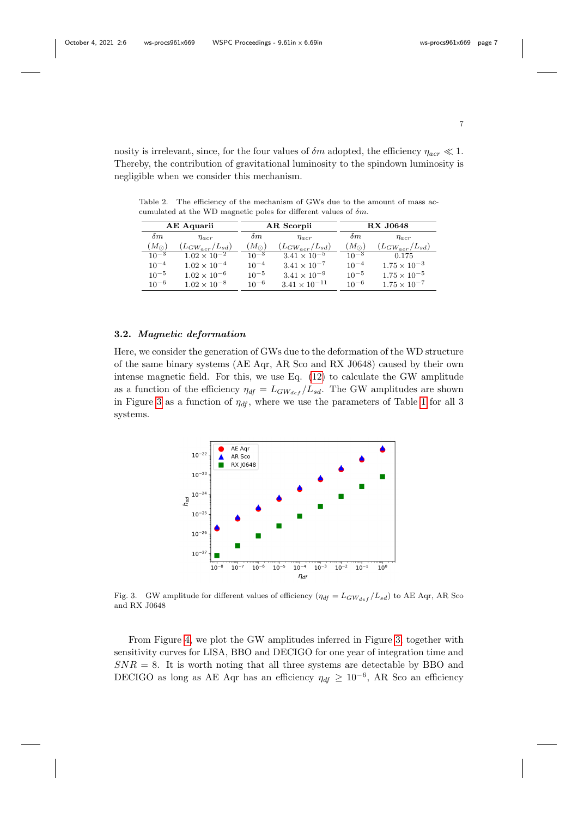nosity is irrelevant, since, for the four values of  $\delta m$  adopted, the efficiency  $\eta_{acr} \ll 1$ . Thereby, the contribution of gravitational luminosity to the spindown luminosity is negligible when we consider this mechanism.

<span id="page-6-0"></span>Table 2. The efficiency of the mechanism of GWs due to the amount of mass accumulated at the WD magnetic poles for different values of  $\delta m$ .

| AE Aquarii    |                         | AR Scorpii    |                        | <b>RX J0648</b> |                         |
|---------------|-------------------------|---------------|------------------------|-----------------|-------------------------|
| $\delta m$    | $\eta_{acr}$            | $\delta m$    | $\eta_{acr}$           | $\delta m$      | $\eta_{acr}$            |
| $(M_{\odot})$ | $(L_{GW_{acr}}/L_{sd})$ | $(M_{\odot})$ | $(L_{GW,cr}/L_{sd})$   | $(M_{\odot})$   | $(L_{GW_{acr}}/L_{sd})$ |
| $10^{-3}$     | $1.02 \times 10^{-2}$   | $10^{-3}$     | $3.41 \times 10^{-5}$  | $10^{-3}$       | 0.175                   |
| $10^{-4}$     | $1.02 \times 10^{-4}$   | $10^{-4}$     | $3.41 \times 10^{-7}$  | $10^{-4}$       | $1.75 \times 10^{-3}$   |
| $10^{-5}$     | $1.02 \times 10^{-6}$   | $10^{-5}$     | $3.41 \times 10^{-9}$  | $10^{-5}$       | $1.75 \times 10^{-5}$   |
| $10^{-6}$     | $1.02 \times 10^{-8}$   | $10^{-6}$     | $3.41 \times 10^{-11}$ | $10^{-6}$       | $1.75 \times 10^{-7}$   |

## 3.2. Magnetic deformation

Here, we consider the generation of GWs due to the deformation of the WD structure of the same binary systems (AE Aqr, AR Sco and RX J0648) caused by their own intense magnetic field. For this, we use Eq. [\(12\)](#page-4-1) to calculate the GW amplitude as a function of the efficiency  $\eta_{df} = L_{GW_{def}}/L_{sd}$ . The GW amplitudes are shown in Figure [3](#page-6-1) as a function of  $\eta_{df}$ , where we use the parameters of Table [1](#page-4-0) for all 3 systems.



<span id="page-6-1"></span>Fig. 3. GW amplitude for different values of efficiency  $(\eta_{df} = L_{GW_{def}}/L_{sd})$  to AE Aqr, AR Sco and RX J0648

From Figure [4,](#page-7-0) we plot the GW amplitudes inferred in Figure [3,](#page-6-1) together with sensitivity curves for LISA, BBO and DECIGO for one year of integration time and  $SNR = 8$ . It is worth noting that all three systems are detectable by BBO and DECIGO as long as AE Aqr has an efficiency  $\eta_{df} \geq 10^{-6}$ , AR Sco an efficiency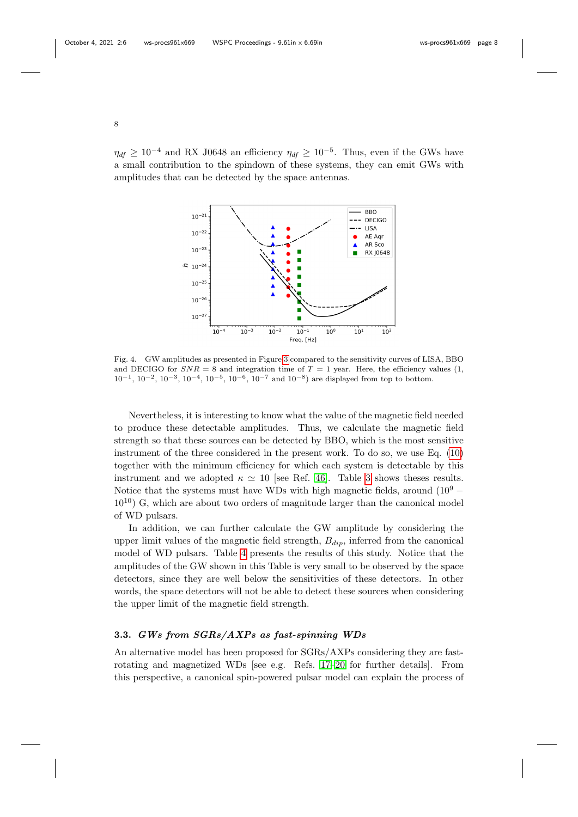$\eta_{df} \geq 10^{-4}$  and RX J0648 an efficiency  $\eta_{df} \geq 10^{-5}$ . Thus, even if the GWs have a small contribution to the spindown of these systems, they can emit GWs with amplitudes that can be detected by the space antennas.



<span id="page-7-0"></span>Fig. 4. GW amplitudes as presented in Figure [3](#page-6-1) compared to the sensitivity curves of LISA, BBO and DECIGO for  $SNR = 8$  and integration time of  $T = 1$  year. Here, the efficiency values (1,  $10^{-1}$ ,  $10^{-2}$ ,  $10^{-3}$ ,  $10^{-4}$ ,  $10^{-5}$ ,  $10^{-6}$ ,  $10^{-7}$  and  $10^{-8}$ ) are displayed from top to bottom.

Nevertheless, it is interesting to know what the value of the magnetic field needed to produce these detectable amplitudes. Thus, we calculate the magnetic field strength so that these sources can be detected by BBO, which is the most sensitive instrument of the three considered in the present work. To do so, we use Eq. [\(10\)](#page-3-2) together with the minimum efficiency for which each system is detectable by this instrument and we adopted  $\kappa \simeq 10$  [see Ref. [46\]](#page-13-7). Table [3](#page-8-0) shows theses results. Notice that the systems must have WDs with high magnetic fields, around  $(10<sup>9</sup> 10^{10}$ ) G, which are about two orders of magnitude larger than the canonical model of WD pulsars.

In addition, we can further calculate the GW amplitude by considering the upper limit values of the magnetic field strength,  $B_{dip}$ , inferred from the canonical model of WD pulsars. Table [4](#page-8-1) presents the results of this study. Notice that the amplitudes of the GW shown in this Table is very small to be observed by the space detectors, since they are well below the sensitivities of these detectors. In other words, the space detectors will not be able to detect these sources when considering the upper limit of the magnetic field strength.

# 3.3. GWs from SGRs/AXPs as fast-spinning WDs

An alternative model has been proposed for SGRs/AXPs considering they are fastrotating and magnetized WDs [see e.g. Refs. [17](#page-11-12)[–20](#page-12-0) for further details]. From this perspective, a canonical spin-powered pulsar model can explain the process of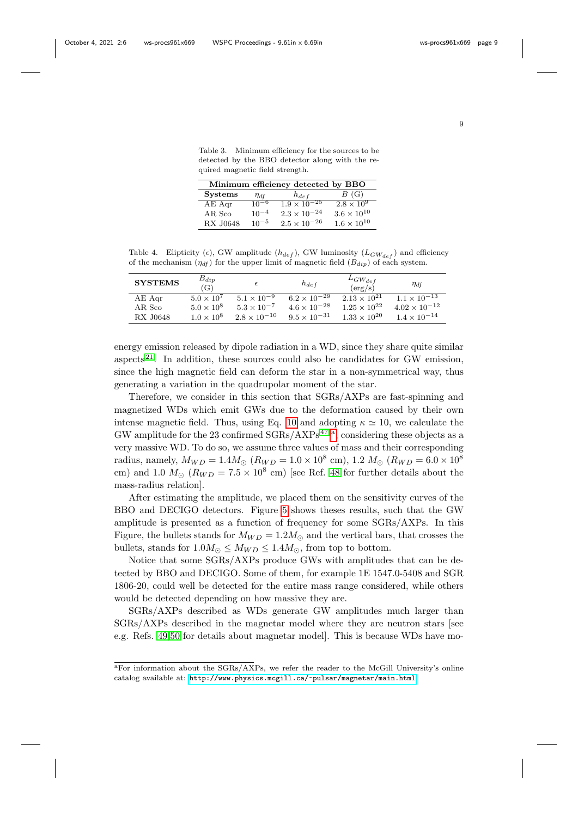<span id="page-8-0"></span>Table 3. Minimum efficiency for the sources to be detected by the BBO detector along with the required magnetic field strength.

| Minimum efficiency detected by BBO |             |                       |                      |  |  |
|------------------------------------|-------------|-----------------------|----------------------|--|--|
| <b>Systems</b>                     | $\eta_{df}$ | $h_{def}$             | B(G)                 |  |  |
| $AE$ Aqr                           | $10^{-6}$   | $1.9 \times 10^{-25}$ | $2.8 \times 10^9$    |  |  |
| AR Sco                             | $10^{-4}$   | $2.3 \times 10^{-24}$ | $3.6 \times 10^{10}$ |  |  |
| <b>RX J0648</b>                    | $10^{-5}$   | $2.5 \times 10^{-26}$ | $1.6 \times 10^{10}$ |  |  |

<span id="page-8-1"></span>Table 4. Elipticity ( $\epsilon$ ), GW amplitude ( $h_{def}$ ), GW luminosity ( $L_{GW_{def}}$ ) and efficiency of the mechanism  $(\eta_{df})$  for the upper limit of magnetic field  $(B_{dip})$  of each system.

| <b>SYSTEMS</b> | $B_{dip}$<br>(G)    | $\epsilon$            | $h_{def}$             | $L_{GW_{def}}$<br>(erg/s) | $\eta_{df}$                      |
|----------------|---------------------|-----------------------|-----------------------|---------------------------|----------------------------------|
| $AE$ Aqr       | $5.0 \times 10^7$   | $5.1 \times 10^{-9}$  | $6.2 \times 10^{-29}$ | $2.13 \times 10^{21}$     | $1.1 \times \overline{10^{-13}}$ |
| AR Sco         | $5.0 \times 10^8$   | $5.3 \times 10^{-7}$  | $4.6 \times 10^{-28}$ | $1.25 \times 10^{22}$     | $4.02 \times 10^{-12}$           |
| RX J0648       | $1.0 \times 10^{8}$ | $2.8 \times 10^{-10}$ | $9.5 \times 10^{-31}$ | $1.33 \times 10^{20}$     | $1.4 \times 10^{-14}$            |

energy emission released by dipole radiation in a WD, since they share quite similar aspects<sup>[21](#page-12-1)</sup>. In addition, these sources could also be candidates for GW emission. since the high magnetic field can deform the star in a non-symmetrical way, thus generating a variation in the quadrupolar moment of the star.

Therefore, we consider in this section that SGRs/AXPs are fast-spinning and magnetized WDs which emit GWs due to the deformation caused by their own intense magnetic field. Thus, using Eq. [10](#page-3-2) and adopting  $\kappa \simeq 10$ , we calculate the GW [a](#page-8-2)mplitude for the 23 confirmed  $SGRs/AXPs<sup>47</sup>$  $SGRs/AXPs<sup>47</sup>$  $SGRs/AXPs<sup>47</sup>$ <sup>a</sup>, considering these objects as a very massive WD. To do so, we assume three values of mass and their corresponding radius, namely,  $M_{WD} = 1.4 M_{\odot}$  ( $R_{WD} = 1.0 \times 10^8$  cm), 1.2  $M_{\odot}$  ( $R_{WD} = 6.0 \times 10^8$ cm) and 1.0  $M_{\odot}$  ( $R_{WD} = 7.5 \times 10^8$  cm) [see Ref. [48](#page-13-9) for further details about the mass-radius relation].

After estimating the amplitude, we placed them on the sensitivity curves of the BBO and DECIGO detectors. Figure [5](#page-9-0) shows theses results, such that the GW amplitude is presented as a function of frequency for some SGRs/AXPs. In this Figure, the bullets stands for  $M_{WD} = 1.2 M_{\odot}$  and the vertical bars, that crosses the bullets, stands for  $1.0M_{\odot} \leq M_{WD} \leq 1.4M_{\odot}$ , from top to bottom.

Notice that some SGRs/AXPs produce GWs with amplitudes that can be detected by BBO and DECIGO. Some of them, for example 1E 1547.0-5408 and SGR 1806-20, could well be detected for the entire mass range considered, while others would be detected depending on how massive they are.

SGRs/AXPs described as WDs generate GW amplitudes much larger than SGRs/AXPs described in the magnetar model where they are neutron stars [see e.g. Refs. [49,](#page-13-10)[50](#page-13-11) for details about magnetar model]. This is because WDs have mo-

<span id="page-8-2"></span><sup>a</sup>For information about the SGRs/AXPs, we refer the reader to the McGill University's online catalog available at: <http://www.physics.mcgill.ca/~pulsar/magnetar/main.html>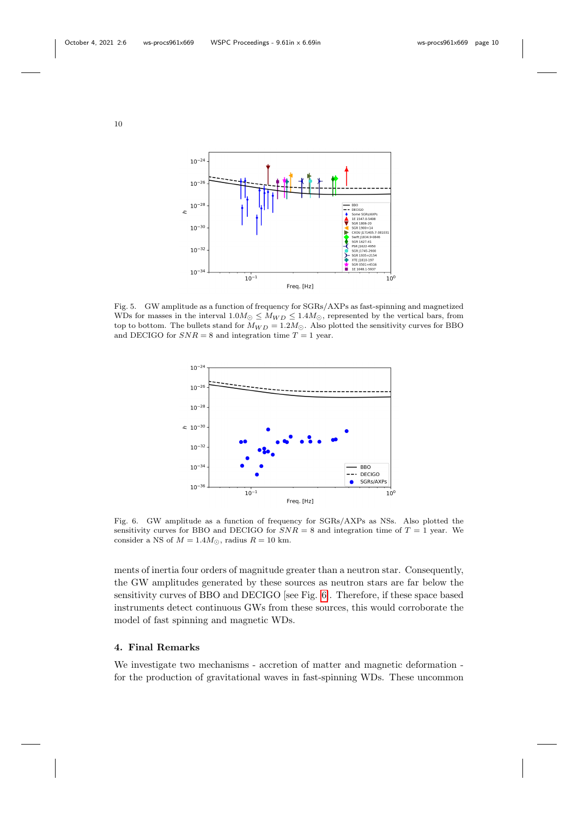

<span id="page-9-0"></span>Fig. 5. GW amplitude as a function of frequency for SGRs/AXPs as fast-spinning and magnetized WDs for masses in the interval  $1.0M_{\odot} \leq M_{WD} \leq 1.4M_{\odot}$ , represented by the vertical bars, from top to bottom. The bullets stand for  $M_{WD} = 1.2 M_{\odot}$ . Also plotted the sensitivity curves for BBO and DECIGO for  $SNR = 8$  and integration time  $T = 1$  year.



<span id="page-9-1"></span>Fig. 6. GW amplitude as a function of frequency for SGRs/AXPs as NSs. Also plotted the sensitivity curves for BBO and DECIGO for  $SNR = 8$  and integration time of  $T = 1$  year. We consider a NS of  $M = 1.4 M_{\odot}$ , radius  $R = 10$  km.

ments of inertia four orders of magnitude greater than a neutron star. Consequently, the GW amplitudes generated by these sources as neutron stars are far below the sensitivity curves of BBO and DECIGO [see Fig. [6\]](#page-9-1). Therefore, if these space based instruments detect continuous GWs from these sources, this would corroborate the model of fast spinning and magnetic WDs.

### 4. Final Remarks

We investigate two mechanisms - accretion of matter and magnetic deformation for the production of gravitational waves in fast-spinning WDs. These uncommon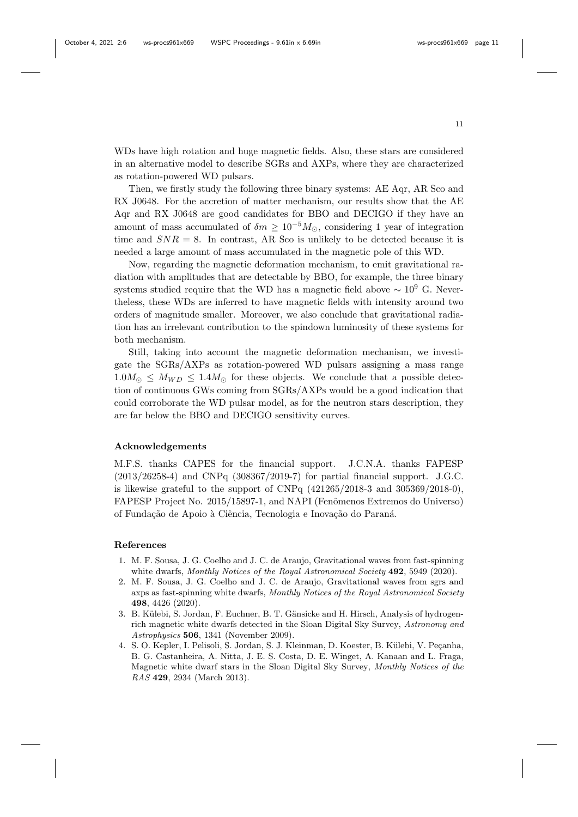WDs have high rotation and huge magnetic fields. Also, these stars are considered in an alternative model to describe SGRs and AXPs, where they are characterized as rotation-powered WD pulsars.

Then, we firstly study the following three binary systems: AE Aqr, AR Sco and RX J0648. For the accretion of matter mechanism, our results show that the AE Aqr and RX J0648 are good candidates for BBO and DECIGO if they have an amount of mass accumulated of  $\delta m \geq 10^{-5} M_{\odot}$ , considering 1 year of integration time and  $SNR = 8$ . In contrast, AR Sco is unlikely to be detected because it is needed a large amount of mass accumulated in the magnetic pole of this WD.

Now, regarding the magnetic deformation mechanism, to emit gravitational radiation with amplitudes that are detectable by BBO, for example, the three binary systems studied require that the WD has a magnetic field above  $\sim 10^9$  G. Nevertheless, these WDs are inferred to have magnetic fields with intensity around two orders of magnitude smaller. Moreover, we also conclude that gravitational radiation has an irrelevant contribution to the spindown luminosity of these systems for both mechanism.

Still, taking into account the magnetic deformation mechanism, we investigate the SGRs/AXPs as rotation-powered WD pulsars assigning a mass range  $1.0M_{\odot} \leq M_{WD} \leq 1.4M_{\odot}$  for these objects. We conclude that a possible detection of continuous GWs coming from SGRs/AXPs would be a good indication that could corroborate the WD pulsar model, as for the neutron stars description, they are far below the BBO and DECIGO sensitivity curves.

## Acknowledgements

M.F.S. thanks CAPES for the financial support. J.C.N.A. thanks FAPESP (2013/26258-4) and CNPq (308367/2019-7) for partial financial support. J.G.C. is likewise grateful to the support of CNPq  $(421265/2018-3$  and  $305369/2018-0)$ , FAPESP Project No. 2015/15897-1, and NAPI (Fenômenos Extremos do Universo) of Fundação de Apoio à Ciência, Tecnologia e Inovação do Paraná.

#### References

- <span id="page-10-0"></span>1. M. F. Sousa, J. G. Coelho and J. C. de Araujo, Gravitational waves from fast-spinning white dwarfs, Monthly Notices of the Royal Astronomical Society **492**, 5949 (2020).
- <span id="page-10-1"></span>2. M. F. Sousa, J. G. Coelho and J. C. de Araujo, Gravitational waves from sgrs and axps as fast-spinning white dwarfs, Monthly Notices of the Royal Astronomical Society 498, 4426 (2020).
- <span id="page-10-2"></span>3. B. Külebi, S. Jordan, F. Euchner, B. T. Gänsicke and H. Hirsch, Analysis of hydrogenrich magnetic white dwarfs detected in the Sloan Digital Sky Survey, Astronomy and Astrophysics 506, 1341 (November 2009).
- 4. S. O. Kepler, I. Pelisoli, S. Jordan, S. J. Kleinman, D. Koester, B. Külebi, V. Peçanha, B. G. Castanheira, A. Nitta, J. E. S. Costa, D. E. Winget, A. Kanaan and L. Fraga, Magnetic white dwarf stars in the Sloan Digital Sky Survey, Monthly Notices of the RAS 429, 2934 (March 2013).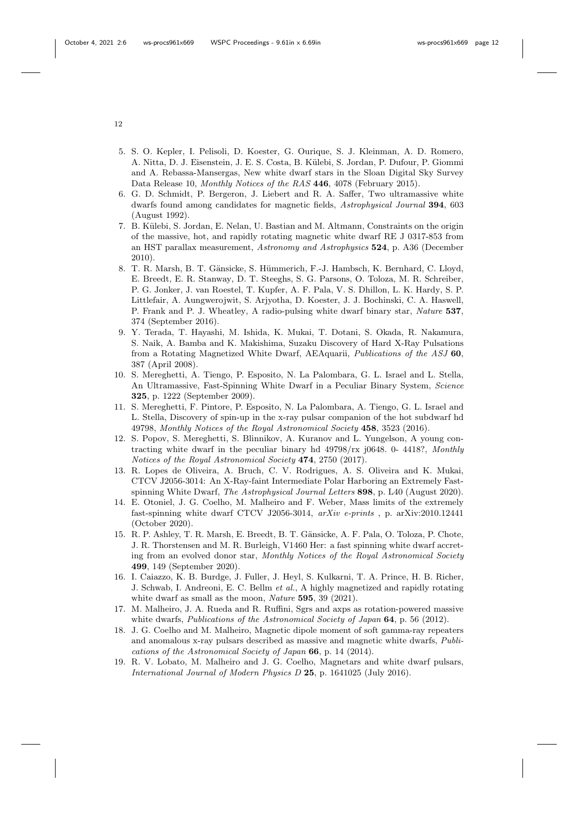- <span id="page-11-0"></span>5. S. O. Kepler, I. Pelisoli, D. Koester, G. Ourique, S. J. Kleinman, A. D. Romero, A. Nitta, D. J. Eisenstein, J. E. S. Costa, B. K¨ulebi, S. Jordan, P. Dufour, P. Giommi and A. Rebassa-Mansergas, New white dwarf stars in the Sloan Digital Sky Survey Data Release 10, Monthly Notices of the RAS 446, 4078 (February 2015).
- <span id="page-11-1"></span>6. G. D. Schmidt, P. Bergeron, J. Liebert and R. A. Saffer, Two ultramassive white dwarfs found among candidates for magnetic fields, Astrophysical Journal 394, 603 (August 1992).
- <span id="page-11-2"></span>7. B. K¨ulebi, S. Jordan, E. Nelan, U. Bastian and M. Altmann, Constraints on the origin of the massive, hot, and rapidly rotating magnetic white dwarf RE J 0317-853 from an HST parallax measurement, Astronomy and Astrophysics 524, p. A36 (December 2010).
- <span id="page-11-3"></span>8. T. R. Marsh, B. T. Gänsicke, S. Hümmerich, F.-J. Hambsch, K. Bernhard, C. Lloyd, E. Breedt, E. R. Stanway, D. T. Steeghs, S. G. Parsons, O. Toloza, M. R. Schreiber, P. G. Jonker, J. van Roestel, T. Kupfer, A. F. Pala, V. S. Dhillon, L. K. Hardy, S. P. Littlefair, A. Aungwerojwit, S. Arjyotha, D. Koester, J. J. Bochinski, C. A. Haswell, P. Frank and P. J. Wheatley, A radio-pulsing white dwarf binary star, Nature 537, 374 (September 2016).
- <span id="page-11-4"></span>9. Y. Terada, T. Hayashi, M. Ishida, K. Mukai, T. Dotani, S. Okada, R. Nakamura, S. Naik, A. Bamba and K. Makishima, Suzaku Discovery of Hard X-Ray Pulsations from a Rotating Magnetized White Dwarf, AEAquarii, Publications of the ASJ 60, 387 (April 2008).
- <span id="page-11-5"></span>10. S. Mereghetti, A. Tiengo, P. Esposito, N. La Palombara, G. L. Israel and L. Stella, An Ultramassive, Fast-Spinning White Dwarf in a Peculiar Binary System, Science 325, p. 1222 (September 2009).
- <span id="page-11-6"></span>11. S. Mereghetti, F. Pintore, P. Esposito, N. La Palombara, A. Tiengo, G. L. Israel and L. Stella, Discovery of spin-up in the x-ray pulsar companion of the hot subdwarf hd 49798, Monthly Notices of the Royal Astronomical Society 458, 3523 (2016).
- <span id="page-11-7"></span>12. S. Popov, S. Mereghetti, S. Blinnikov, A. Kuranov and L. Yungelson, A young contracting white dwarf in the peculiar binary hd 49798/rx j0648. 0- 4418?, Monthly Notices of the Royal Astronomical Society 474, 2750 (2017).
- <span id="page-11-8"></span>13. R. Lopes de Oliveira, A. Bruch, C. V. Rodrigues, A. S. Oliveira and K. Mukai, CTCV J2056-3014: An X-Ray-faint Intermediate Polar Harboring an Extremely Fastspinning White Dwarf, The Astrophysical Journal Letters 898, p. L40 (August 2020).
- <span id="page-11-9"></span>14. E. Otoniel, J. G. Coelho, M. Malheiro and F. Weber, Mass limits of the extremely fast-spinning white dwarf CTCV J2056-3014, arXiv e-prints , p. arXiv:2010.12441 (October 2020).
- <span id="page-11-10"></span>15. R. P. Ashley, T. R. Marsh, E. Breedt, B. T. Gänsicke, A. F. Pala, O. Toloza, P. Chote, J. R. Thorstensen and M. R. Burleigh, V1460 Her: a fast spinning white dwarf accreting from an evolved donor star, Monthly Notices of the Royal Astronomical Society 499, 149 (September 2020).
- <span id="page-11-11"></span>16. I. Caiazzo, K. B. Burdge, J. Fuller, J. Heyl, S. Kulkarni, T. A. Prince, H. B. Richer, J. Schwab, I. Andreoni, E. C. Bellm et al., A highly magnetized and rapidly rotating white dwarf as small as the moon, *Nature* 595, 39 (2021).
- <span id="page-11-12"></span>17. M. Malheiro, J. A. Rueda and R. Ruffini, Sgrs and axps as rotation-powered massive white dwarfs, Publications of the Astronomical Society of Japan 64, p. 56 (2012).
- <span id="page-11-13"></span>18. J. G. Coelho and M. Malheiro, Magnetic dipole moment of soft gamma-ray repeaters and anomalous x-ray pulsars described as massive and magnetic white dwarfs, Publications of the Astronomical Society of Japan 66, p. 14 (2014).
- 19. R. V. Lobato, M. Malheiro and J. G. Coelho, Magnetars and white dwarf pulsars, International Journal of Modern Physics D 25, p. 1641025 (July 2016).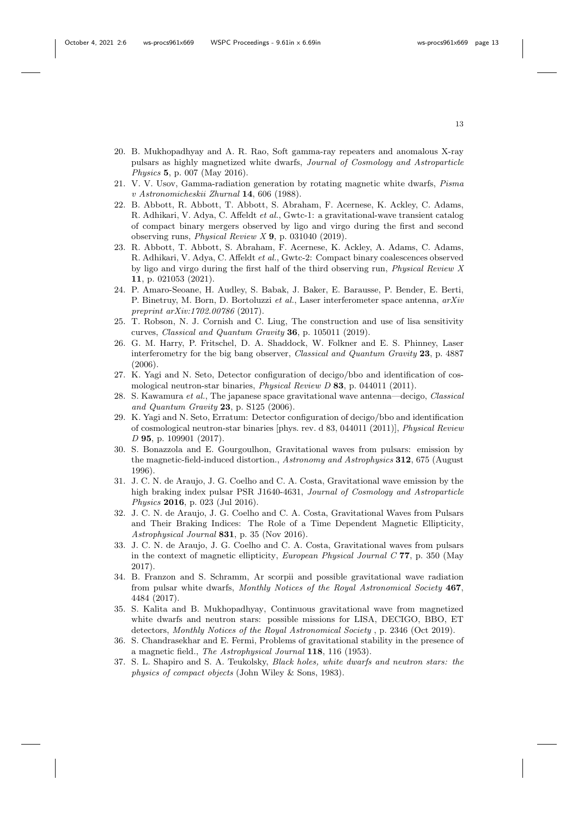- <span id="page-12-0"></span>20. B. Mukhopadhyay and A. R. Rao, Soft gamma-ray repeaters and anomalous X-ray pulsars as highly magnetized white dwarfs, Journal of Cosmology and Astroparticle Physics 5, p. 007 (May 2016).
- <span id="page-12-1"></span>21. V. V. Usov, Gamma-radiation generation by rotating magnetic white dwarfs, Pisma v Astronomicheskii Zhurnal 14, 606 (1988).
- <span id="page-12-2"></span>22. B. Abbott, R. Abbott, T. Abbott, S. Abraham, F. Acernese, K. Ackley, C. Adams, R. Adhikari, V. Adya, C. Affeldt et al., Gwtc-1: a gravitational-wave transient catalog of compact binary mergers observed by ligo and virgo during the first and second observing runs, Physical Review X 9, p. 031040 (2019).
- <span id="page-12-3"></span>23. R. Abbott, T. Abbott, S. Abraham, F. Acernese, K. Ackley, A. Adams, C. Adams, R. Adhikari, V. Adya, C. Affeldt et al., Gwtc-2: Compact binary coalescences observed by ligo and virgo during the first half of the third observing run, Physical Review X 11, p. 021053 (2021).
- <span id="page-12-4"></span>24. P. Amaro-Seoane, H. Audley, S. Babak, J. Baker, E. Barausse, P. Bender, E. Berti, P. Binetruy, M. Born, D. Bortoluzzi et al., Laser interferometer space antenna, arXiv preprint arXiv:1702.00786 (2017).
- <span id="page-12-5"></span>25. T. Robson, N. J. Cornish and C. Liug, The construction and use of lisa sensitivity curves, Classical and Quantum Gravity 36, p. 105011 (2019).
- <span id="page-12-6"></span>26. G. M. Harry, P. Fritschel, D. A. Shaddock, W. Folkner and E. S. Phinney, Laser interferometry for the big bang observer, Classical and Quantum Gravity 23, p. 4887  $(2006)$
- <span id="page-12-7"></span>27. K. Yagi and N. Seto, Detector configuration of decigo/bbo and identification of cosmological neutron-star binaries, Physical Review D 83, p. 044011 (2011).
- <span id="page-12-8"></span>28. S. Kawamura et al., The japanese space gravitational wave antenna—decigo, Classical and Quantum Gravity 23, p. S125 (2006).
- <span id="page-12-9"></span>29. K. Yagi and N. Seto, Erratum: Detector configuration of decigo/bbo and identification of cosmological neutron-star binaries [phys. rev. d 83, 044011 (2011)], Physical Review D 95, p. 109901 (2017).
- <span id="page-12-10"></span>30. S. Bonazzola and E. Gourgoulhon, Gravitational waves from pulsars: emission by the magnetic-field-induced distortion., Astronomy and Astrophysics 312, 675 (August 1996).
- 31. J. C. N. de Araujo, J. G. Coelho and C. A. Costa, Gravitational wave emission by the high braking index pulsar PSR J1640-4631, Journal of Cosmology and Astroparticle Physics 2016, p. 023 (Jul 2016).
- 32. J. C. N. de Araujo, J. G. Coelho and C. A. Costa, Gravitational Waves from Pulsars and Their Braking Indices: The Role of a Time Dependent Magnetic Ellipticity, Astrophysical Journal 831, p. 35 (Nov 2016).
- 33. J. C. N. de Araujo, J. G. Coelho and C. A. Costa, Gravitational waves from pulsars in the context of magnetic ellipticity, European Physical Journal C 77, p. 350 (May 2017).
- <span id="page-12-11"></span>34. B. Franzon and S. Schramm, Ar scorpii and possible gravitational wave radiation from pulsar white dwarfs, Monthly Notices of the Royal Astronomical Society 467, 4484 (2017).
- <span id="page-12-12"></span>35. S. Kalita and B. Mukhopadhyay, Continuous gravitational wave from magnetized white dwarfs and neutron stars: possible missions for LISA, DECIGO, BBO, ET detectors, Monthly Notices of the Royal Astronomical Society , p. 2346 (Oct 2019).
- <span id="page-12-13"></span>36. S. Chandrasekhar and E. Fermi, Problems of gravitational stability in the presence of a magnetic field., The Astrophysical Journal 118, 116 (1953).
- <span id="page-12-14"></span>37. S. L. Shapiro and S. A. Teukolsky, Black holes, white dwarfs and neutron stars: the physics of compact objects (John Wiley & Sons, 1983).